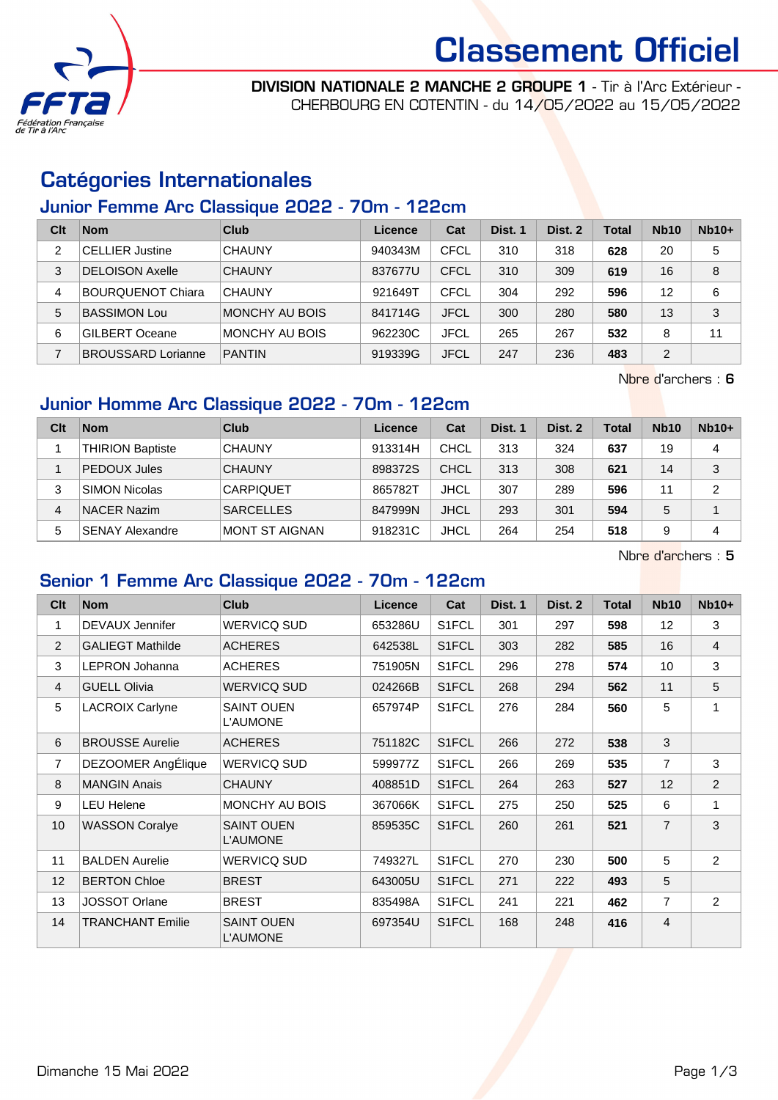

# Classement Officiel

DIVISION NATIONALE 2 MANCHE 2 GROUPE 1 - Tir à l'Arc Extérieur - CHERBOURG EN COTENTIN - du 14/05/2022 au 15/05/2022

### Catégories Internationales

#### Junior Femme Arc Classique 2022 - 70m - 122cm

| Clt | <b>Nom</b>                | Club           | Licence | Cat         | Dist. 1 | Dist. 2 | Total | <b>Nb10</b> | $Nb10+$ |
|-----|---------------------------|----------------|---------|-------------|---------|---------|-------|-------------|---------|
| 2   | <b>CELLIER Justine</b>    | <b>CHAUNY</b>  | 940343M | CFCL        | 310     | 318     | 628   | 20          | 5       |
| 3   | <b>DELOISON Axelle</b>    | <b>CHAUNY</b>  | 837677U | <b>CFCL</b> | 310     | 309     | 619   | 16          | 8       |
| 4   | <b>BOURQUENOT Chiara</b>  | <b>CHAUNY</b>  | 921649T | <b>CFCL</b> | 304     | 292     | 596   | 12          | 6       |
| 5   | <b>BASSIMON Lou</b>       | MONCHY AU BOIS | 841714G | <b>JFCL</b> | 300     | 280     | 580   | 13          | 3       |
| 6   | <b>GILBERT Oceane</b>     | MONCHY AU BOIS | 962230C | <b>JFCL</b> | 265     | 267     | 532   | 8           | 11      |
| 7   | <b>BROUSSARD Lorianne</b> | <b>PANTIN</b>  | 919339G | <b>JFCL</b> | 247     | 236     | 483   | 2           |         |

Nbre d'archers : 6

### Junior Homme Arc Classique 2022 - 70m - 122cm

| Clt | <b>Nom</b>              | Club                  | Licence | Cat         | Dist. 1 | Dist. 2 | Total | <b>Nb10</b> | $Nb10+$        |
|-----|-------------------------|-----------------------|---------|-------------|---------|---------|-------|-------------|----------------|
|     | <b>THIRION Baptiste</b> | <b>CHAUNY</b>         | 913314H | <b>CHCL</b> | 313     | 324     | 637   | 19          | 4              |
|     | <b>PEDOUX Jules</b>     | <b>CHAUNY</b>         | 898372S | <b>CHCL</b> | 313     | 308     | 621   | 14          | 3              |
| 3   | SIMON Nicolas           | <b>CARPIQUET</b>      | 865782T | <b>JHCL</b> | 307     | 289     | 596   | 11          | $\overline{2}$ |
| 4   | <b>NACER Nazim</b>      | <b>SARCELLES</b>      | 847999N | <b>JHCL</b> | 293     | 301     | 594   | 5           |                |
| 5   | <b>SENAY Alexandre</b>  | <b>MONT ST AIGNAN</b> | 918231C | <b>JHCL</b> | 264     | 254     | 518   | 9           | 4              |

Nbre d'archers : 5

#### Senior 1 Femme Arc Classique 2022 - 70m - 122cm

| Clt            | <b>Nom</b>              | <b>Club</b>                          | <b>Licence</b> | Cat                | Dist. 1 | Dist. 2 | <b>Total</b> | <b>Nb10</b>    | $Nb10+$        |
|----------------|-------------------------|--------------------------------------|----------------|--------------------|---------|---------|--------------|----------------|----------------|
| 1              | <b>DEVAUX Jennifer</b>  | <b>WERVICQ SUD</b>                   | 653286U        | S1FCL              | 301     | 297     | 598          | 12             | 3              |
| 2              | <b>GALIEGT Mathilde</b> | <b>ACHERES</b>                       | 642538L        | S1FCL              | 303     | 282     | 585          | 16             | $\overline{4}$ |
| 3              | <b>LEPRON Johanna</b>   | <b>ACHERES</b>                       | 751905N        | S1FCL              | 296     | 278     | 574          | 10             | 3              |
| 4              | <b>GUELL Olivia</b>     | <b>WERVICQ SUD</b>                   | 024266B        | S1FCL              | 268     | 294     | 562          | 11             | 5              |
| 5              | <b>LACROIX Carlyne</b>  | <b>SAINT OUEN</b><br><b>L'AUMONE</b> | 657974P        | S1FCL              | 276     | 284     | 560          | 5              | 1              |
| 6              | <b>BROUSSE Aurelie</b>  | <b>ACHERES</b>                       | 751182C        | S1FCL              | 266     | 272     | 538          | 3              |                |
| $\overline{7}$ | DEZOOMER AngÉlique      | <b>WERVICQ SUD</b>                   | 599977Z        | S1FCL              | 266     | 269     | 535          | $\overline{7}$ | 3              |
| 8              | <b>MANGIN Anais</b>     | <b>CHAUNY</b>                        | 408851D        | S <sub>1</sub> FCL | 264     | 263     | 527          | 12             | $\overline{2}$ |
| 9              | <b>LEU Helene</b>       | MONCHY AU BOIS                       | 367066K        | S1FCL              | 275     | 250     | 525          | 6              | $\mathbf 1$    |
| 10             | <b>WASSON Coralye</b>   | <b>SAINT OUEN</b><br><b>L'AUMONE</b> | 859535C        | S1FCL              | 260     | 261     | 521          | $\overline{7}$ | 3              |
| 11             | <b>BALDEN Aurelie</b>   | <b>WERVICQ SUD</b>                   | 749327L        | S1FCL              | 270     | 230     | 500          | $\overline{5}$ | $\overline{2}$ |
| 12             | <b>BERTON Chloe</b>     | <b>BREST</b>                         | 643005U        | S1FCL              | 271     | 222     | 493          | 5              |                |
| 13             | <b>JOSSOT Orlane</b>    | <b>BREST</b>                         | 835498A        | S1FCL              | 241     | 221     | 462          | $\overline{7}$ | $\overline{2}$ |
| 14             | <b>TRANCHANT Emilie</b> | <b>SAINT OUEN</b><br><b>L'AUMONE</b> | 697354U        | S1FCL              | 168     | 248     | 416          | $\overline{4}$ |                |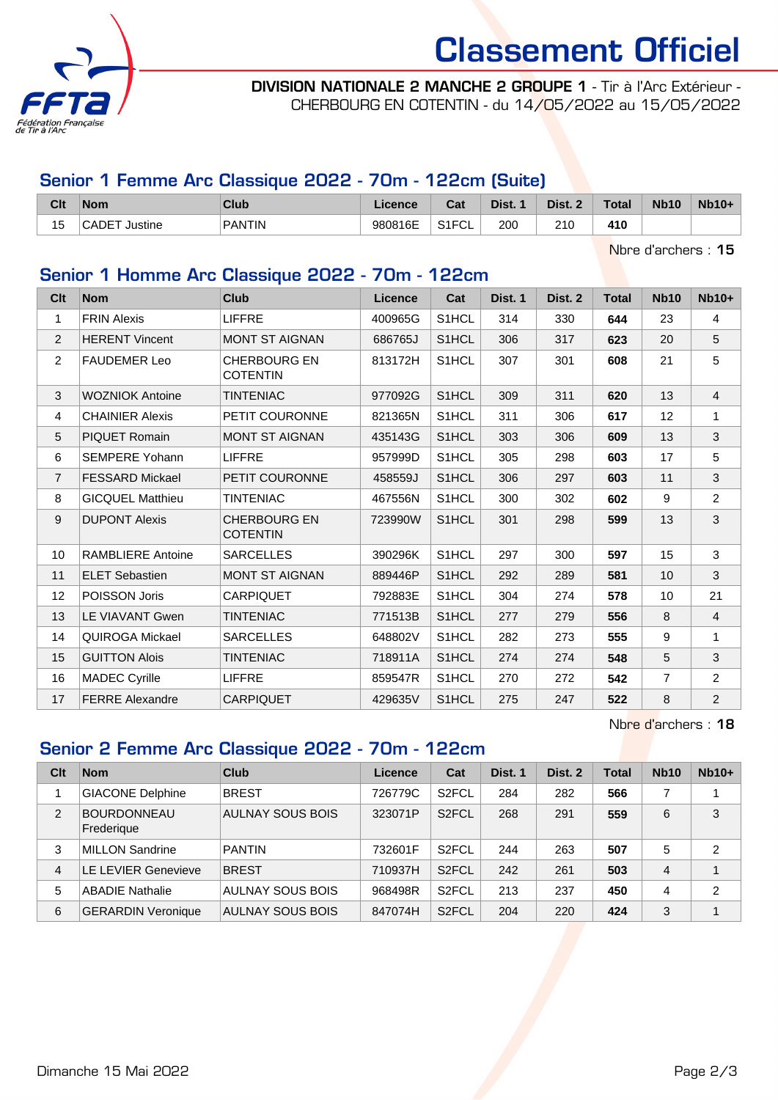

## Classement Officiel

DIVISION NATIONALE 2 MANCHE 2 GROUPE 1 - Tir à l'Arc Extérieur - CHERBOURG EN COTENTIN - du 14/05/2022 au 15/05/2022

#### Senior 1 Femme Arc Classique 2022 - 70m - 122cm (Suite)

| Cit                   | <b>Nom</b>        | Club     | Licence | <b>Take</b><br>⊍ના | Dist. | Dist. | <b>Total</b> | <b>Nb10</b> | $Nb10+$ |
|-----------------------|-------------------|----------|---------|--------------------|-------|-------|--------------|-------------|---------|
| $\overline{ }$<br>כ ו | CADET<br>⊺Justine | ' PANTIN | 980816E | S1ET<br>۱۱ ت<br>◡∟ | 200   | 210   | 410          |             |         |

Nbre d'archers : 15

#### Senior 1 Homme Arc Classique 2022 - 70m - 122cm

| Clt            | <b>Nom</b>               | <b>Club</b>                            | Licence | Cat                | Dist. 1 | Dist. 2 | Total | <b>Nb10</b>    | $Nb10+$        |
|----------------|--------------------------|----------------------------------------|---------|--------------------|---------|---------|-------|----------------|----------------|
| 1              | <b>FRIN Alexis</b>       | <b>LIFFRE</b>                          | 400965G | S1HCL              | 314     | 330     | 644   | 23             | $\overline{4}$ |
| $\overline{2}$ | <b>HERENT Vincent</b>    | <b>MONT ST AIGNAN</b>                  | 686765J | S1HCL              | 306     | 317     | 623   | 20             | 5              |
| $\overline{2}$ | <b>FAUDEMER Leo</b>      | <b>CHERBOURG EN</b><br><b>COTENTIN</b> | 813172H | S <sub>1</sub> HCL | 307     | 301     | 608   | 21             | 5              |
| 3              | <b>WOZNIOK Antoine</b>   | <b>TINTENIAC</b>                       | 977092G | S <sub>1</sub> HCL | 309     | 311     | 620   | 13             | $\overline{4}$ |
| 4              | <b>CHAINIER Alexis</b>   | PETIT COURONNE                         | 821365N | S1HCL              | 311     | 306     | 617   | 12             | 1              |
| 5              | <b>PIQUET Romain</b>     | <b>MONT ST AIGNAN</b>                  | 435143G | S <sub>1</sub> HCL | 303     | 306     | 609   | 13             | 3              |
| 6              | <b>SEMPERE Yohann</b>    | <b>LIFFRE</b>                          | 957999D | S <sub>1</sub> HCL | 305     | 298     | 603   | 17             | 5              |
| $\overline{7}$ | <b>FESSARD Mickael</b>   | PETIT COURONNE                         | 458559J | S <sub>1</sub> HCL | 306     | 297     | 603   | 11             | 3              |
| 8              | <b>GICQUEL Matthieu</b>  | <b>TINTENIAC</b>                       | 467556N | S1HCL              | 300     | 302     | 602   | 9              | $\overline{2}$ |
| 9              | <b>DUPONT Alexis</b>     | <b>CHERBOURG EN</b><br><b>COTENTIN</b> | 723990W | S <sub>1</sub> HCL | 301     | 298     | 599   | 13             | $\mathbf{3}$   |
| 10             | <b>RAMBLIERE Antoine</b> | <b>SARCELLES</b>                       | 390296K | S <sub>1</sub> HCL | 297     | 300     | 597   | 15             | 3              |
| 11             | <b>ELET Sebastien</b>    | <b>MONT ST AIGNAN</b>                  | 889446P | S <sub>1</sub> HCL | 292     | 289     | 581   | 10             | 3              |
| 12             | POISSON Joris            | <b>CARPIQUET</b>                       | 792883E | S1HCL              | 304     | 274     | 578   | 10             | 21             |
| 13             | <b>LE VIAVANT Gwen</b>   | <b>TINTENIAC</b>                       | 771513B | S <sub>1</sub> HCL | 277     | 279     | 556   | 8              | $\overline{4}$ |
| 14             | QUIROGA Mickael          | <b>SARCELLES</b>                       | 648802V | S1HCL              | 282     | 273     | 555   | 9              | 1              |
| 15             | <b>GUITTON Alois</b>     | <b>TINTENIAC</b>                       | 718911A | S1HCL              | 274     | 274     | 548   | 5              | $\mathbf{3}$   |
| 16             | <b>MADEC Cyrille</b>     | <b>LIFFRE</b>                          | 859547R | S1HCL              | 270     | 272     | 542   | $\overline{7}$ | $\overline{2}$ |
| 17             | <b>FERRE Alexandre</b>   | <b>CARPIQUET</b>                       | 429635V | S <sub>1</sub> HCL | 275     | 247     | 522   | 8              | 2              |

Nbre d'archers : 18

#### Senior 2 Femme Arc Classique 2022 - 70m - 122cm

| Clt            | <b>Nom</b>                       | Club             | Licence | Cat                | Dist. 1 | Dist. 2 | Total | <b>Nb10</b>    | $Nb10+$        |
|----------------|----------------------------------|------------------|---------|--------------------|---------|---------|-------|----------------|----------------|
|                | <b>GIACONE Delphine</b>          | <b>BREST</b>     | 726779C | S <sub>2</sub> FCL | 284     | 282     | 566   |                |                |
| $\overline{2}$ | <b>BOURDONNEAU</b><br>Frederique | AULNAY SOUS BOIS | 323071P | S <sub>2</sub> FCL | 268     | 291     | 559   | 6              | 3              |
| 3              | <b>MILLON Sandrine</b>           | <b>PANTIN</b>    | 732601F | S <sub>2</sub> FCL | 244     | 263     | 507   | 5              | $\overline{2}$ |
| 4              | <b>LE LEVIER Genevieve</b>       | <b>BREST</b>     | 710937H | S <sub>2</sub> FCL | 242     | 261     | 503   | $\overline{4}$ | 1              |
| 5              | <b>ABADIE Nathalie</b>           | AULNAY SOUS BOIS | 968498R | S <sub>2</sub> FCL | 213     | 237     | 450   | $\overline{4}$ | $\overline{2}$ |
| 6              | <b>GERARDIN Veronique</b>        | AULNAY SOUS BOIS | 847074H | S <sub>2</sub> FCL | 204     | 220     | 424   | 3              | 1              |